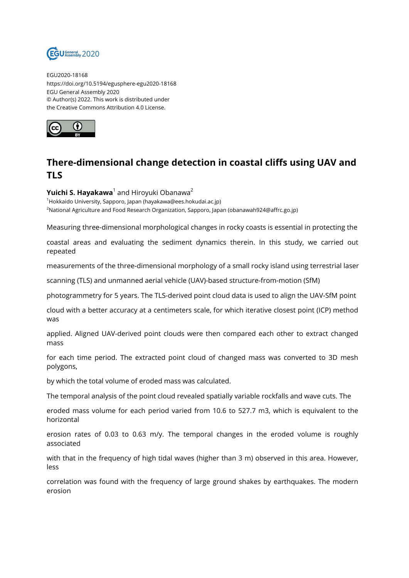

EGU2020-18168 https://doi.org/10.5194/egusphere-egu2020-18168 EGU General Assembly 2020 © Author(s) 2022. This work is distributed under the Creative Commons Attribution 4.0 License.



## **There-dimensional change detection in coastal cliffs using UAV and TLS**

## **Yuichi S. Hayakawa**<sup>1</sup> and Hiroyuki Obanawa<sup>2</sup>

<sup>1</sup>Hokkaido University, Sapporo, Japan (hayakawa@ees.hokudai.ac.jp) <sup>2</sup>National Agriculture and Food Research Organization, Sapporo, Japan (obanawah924@affrc.go.jp)

Measuring three-dimensional morphological changes in rocky coasts is essential in protecting the

coastal areas and evaluating the sediment dynamics therein. In this study, we carried out repeated

measurements of the three-dimensional morphology of a small rocky island using terrestrial laser

scanning (TLS) and unmanned aerial vehicle (UAV)-based structure-from-motion (SfM)

photogrammetry for 5 years. The TLS-derived point cloud data is used to align the UAV-SfM point

cloud with a better accuracy at a centimeters scale, for which iterative closest point (ICP) method was

applied. Aligned UAV-derived point clouds were then compared each other to extract changed mass

for each time period. The extracted point cloud of changed mass was converted to 3D mesh polygons,

by which the total volume of eroded mass was calculated.

The temporal analysis of the point cloud revealed spatially variable rockfalls and wave cuts. The

eroded mass volume for each period varied from 10.6 to 527.7 m3, which is equivalent to the horizontal

erosion rates of 0.03 to 0.63 m/y. The temporal changes in the eroded volume is roughly associated

with that in the frequency of high tidal waves (higher than 3 m) observed in this area. However, less

correlation was found with the frequency of large ground shakes by earthquakes. The modern erosion